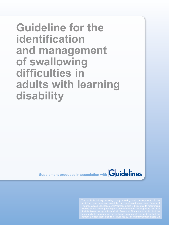# **Guideline for the identification and management of swallowing difficulties in adults with learning disability**

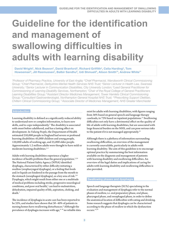# **Guideline for the identification and management of swallowing difficulties in adults with learning disability**

David Wright', Nick Beavon<sup>2</sup>, David Branford<sup>3</sup>, Richard Griffith<sup>4</sup>, Celia Harding<sup>5</sup>, Tom Howseman<sup>6</sup>, Jill Rasmussen<sup>7</sup>, Balbir Sandhu<sup>8</sup>, Udi Shmueli<sup>9</sup>, Alison Smith<sup>10</sup>, Andrew White<sup>11</sup>

*1 Professor of Pharmacy Practice, University of East Anglia; 2 Chief Pharmacist, Wandsworth Clinical Commissioning Group; 3 Chief Pharmacist, Derbyshire Mental Health Services NHS Trust; 4Senior Lecturer in Health Law, Swansea University; 5 Senior Lecturer in Communication Disabilities, City University London; 6Lead General Practitioner for Commissioning of Learning Disability Services, Northampton; 7 Chair of the Royal College of General Practitioners Learning Disabilities Group; 8Assistant Director Medicines Management, Tower Hamlets Clinical Commissioning Group; 9Consultant Gastroenterologist, Northampton General Hospital NHS Trust; 10Prescribing Support Dietitian, Chiltern Clinical Commissioning Group; 11Associate Director of Medicines Management, NHS Greater Manchester*

# Introduction

Learning disability is defined as a significantly reduced ability to understand new or complex information, to learn new skills, and to cope independently.1 The disability is associated with onset before adulthood, and has a lasting effect on development. In *Valuing People*, the Department of Health estimated 210,000 people in England had severe or profound learning disabilities: 65,000 children and young people, 120,000 adults of working age, and 25,000 older people. Approximately 1.2 million adults were thought to have mild or moderate learning disabilities.<sup>1,2</sup>

Adults with learning disabilities experience a higher incidence of health problems than the general population.<sup>1,3,4</sup> The National Patient Safety Agency (NPSA) identified dysphagia, characterised by either difficulty initiating a swallow (oropharyngeal dysphagia), or a feeling that foods and/or liquids are hindered in the passage from the mouth to the stomach (oesophageal dysphagia), as a key area of risk.<sup>5,6</sup> Dysphagia, which might result from either one or a multitude of medical problems including stroke, progressive neurological conditions, and poor oral health,<sup>7</sup> can lead to malnutrition, dehydration, impaired quality of life, aspiration, choking, and death.7

The incidence of dysphagia in acute care has been reported to be 33%, and studies have shown that 30–40% of patients in nursing homes have swallowing disturbances.6 Although the prevalence of dysphagia increases with age, $8-10$  no reliable data exist for adults with learning disabilities, with figures ranging from 36% based on general speech and language therapy caseloads, to 73% based on inpatient populations.<sup>11</sup> Swallowing difficulties not only have a detrimental effect on the quality of life of adults with learning disabilities, but are associated with large financial burden on the NHS, and can pose serious risks to the patient if it is not managed appropriately.<sup>12</sup>

Although there is a plethora of information surrounding swallowing difficulties, an overview of the management is currently unavailable, particularly in adults with learning disability. The aim of this guideline is to encourage optimal practice by summarising the best information available on the diagnosis and management of patients with learning disability and swallowing difficulties. An overview of the legal duties and implications of caring for adults with learning disability and swallowing difficulties is also provided.

### Swallowing phases and dysphagia

Speech and language therapists (SLTs) specialising in the evaluation and management of dysphagia refer to the normal phases of swallow, i.e. oral preparatory phase, oral phase, pharyngeal phase, and oesophageal phase, in order to define the anatomical location of difficulties with eating and drinking. Some research suggests that dysphagia can be characterised according to the phase of swallow in which the dysfunction occurs.13,14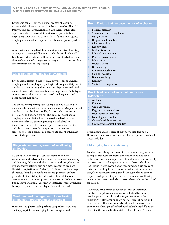Dysphagia can disrupt the normal process of feeding, eating and drinking at any or all of the phases of swallow.13,15 Pharyngeal phase dysfunction can also increase the risk of aspiration, which can result in serious and potentially fatal respiratory infection.<sup>16</sup> At the very least, failure to recognise dysphagia can result in impaired nutrition and poorer quality of life.

Adults with learning disabilities are at greater risk of feeding, eating, and drinking difficulties than healthy individuals.<sup>17</sup> Identifying which phases of the swallow are affected can help the development of management strategies to maximise safety and minimise risk during feeding.<sup>17</sup>

#### Classification and causes of dysphagia

Dysphagia is classified into two major types: oropharyngeal dysphagia and oesophageal dysphagia. Although both types of dysphagia can occur together, most health professionals find it useful to consider their identification separately. Table 1, p.5 summarises the key characteristics of oropharyngeal and oesophageal dysphagia.

The causes of oropharyngeal dysphagia can be classified as mechanical and obstructive, or neuromuscular. Oropharyngeal dysphagia may also be caused by factors such as xerostomia, oral ulcers, and poor dentition. The causes of oesophageal dysphagia can be divided into mucosal, mediastinal, and neuromuscular. As a guiding principle it is helpful to identify neuromuscular causes separately from mechanical and obstructive causes. It is important to remember that side-effects of medications can contribute to, or be the main cause of, the problems.

#### Diagnosis and management of swallowing difficulties

As adults with learning disabilities may be unable to communicate effectively, it is essential to discuss their eating and drinking abilities with their carer; in addition, clinicians might observe patients during a meal in order to evaluate the risk of aspiration (see Table 2, p.5). Speech and language therapists should also conduct a thorough review of their patient's clinical history in order to identify risk factors associated with the development of swallowing difficulties (see Box 1, above and Box 2, above).<sup>18</sup> In instances where dysphagia is suspected, a more formal diagnosis should be made.

#### Treatment and management of swallowing difficulties—oropharyngeal dysphagia

In most cases, pharmacological and surgical interventions are inappropriate for managing the neurological and

#### Box 1: Factors that increase the risk of aspiration<sup>16</sup>

- › Medical disorder
- > Severe sensory feeding disorder
- Fatigue issues
- **Respiration difficulties**
- Chest condition
- Lengthy feeds
- Motor disorders
- › Medical interventions
- › Poor oxygen saturation
- **Medication**
- Postural issues
- **Birth history**
- Environmental factors
- Compliance issues
- **Blood** chemistry
- **Epilepsy**
- Variable feeding status

### Box 2: Medical conditions that predispose aspiration<sup>16</sup>

- › Asthma
- > Epilepsy
- Cardiac problems
- Degenerative conditions
- Post-traumatic incidents
- Neurological disorders
- Craniofacial abnormalities
- Gastroenterological difficulties

neuromuscular aetiologies of oropharyngeal dysphagia. However, other management strategies have proved invaluable. These include:

### i. Modifying food consistency

Food texture is frequently modified in therapy programmes to help compensate for motor difficulties. Modified food texture can aid the manipulation of solid food in the oral cavity of patients with oral preparatory or oral phase difficulties. The British Dietetic Association recommends a hierarchy of textures according to need: fork-mashable diet, pre-mashed diet, thick puree, and thin puree.<sup>19</sup> The type of food texture required is dependent upon the oral–motor and swallowing needs of the patient, and which texture best reduces the risk of aspiration.

Thickeners can be used to reduce the risk of aspiration; they help the patient create a cohesive bolus, thus aiding oropharyngeal control and slowing transit time in the pharynx.20–22 However, supporting literature is limited and controversial. Thickeners can also alter bolus viscosity and texture, which might affect both food palatability<sup>23-27</sup> and the bioavailability of medications taken at mealtimes. Further,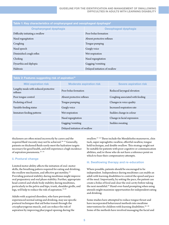| Table 1: Key characteristics of oropharyngeal and oesophageal dysphagia $^{\rm 6}$ |  |  |  |
|------------------------------------------------------------------------------------|--|--|--|
| Oesophageal dysphagia                                                              |  |  |  |
| Poor bolus formation                                                               |  |  |  |
| Absent protective reflexes                                                         |  |  |  |
| Tongue pumping                                                                     |  |  |  |
| Gurgly voice                                                                       |  |  |  |
| Wet respiration                                                                    |  |  |  |
| Nasal regurgitation                                                                |  |  |  |
| Gagging/vomiting                                                                   |  |  |  |
| Delayed initiation of swallow                                                      |  |  |  |
|                                                                                    |  |  |  |

| Table 2: Features suggesting risk of aspiration <sup>16</sup> |                                 |                                  |  |
|---------------------------------------------------------------|---------------------------------|----------------------------------|--|
| <b>Mild aspiration risk</b>                                   | <b>Moderate aspiration risk</b> | <b>Severe aspiration risk</b>    |  |
| Lengthy meals with reduced protective<br>reflexes             | Poor bolus formation            | Reduced laryngeal elevation      |  |
| Poor tongue control                                           | Absent protective reflexes      | Coughing associated with feeding |  |
| Pocketing of food                                             | Tongue pumping                  | Changes in voice quality         |  |
| Variable feeding status                                       | Gurgly voice                    | Increased respiration rate       |  |
| Immature feeding patterns                                     | Wet respiration                 | Sudden change in colour          |  |
|                                                               | Nasal regurgitation             | Change in facial expression      |  |
|                                                               | Gagging/vomiting                | Sudden sweating                  |  |
|                                                               | Delayed initiation of swallow   |                                  |  |

thickeners are often mixed incorrectly by carers and the required fluid viscosity may not be achieved.<sup>28-33</sup> Generally, patients on thickened fluids rarely meet the hydration targets necessary for good health, and still experience a high incidence of aspiration pneumonia.32–34

# ii. Postural change

Limited motor ability affects the initiation of oral–motor skills, the breathing pattern required for eating and drinking, the swallow mechanism, and effective gut motility.<sup>35</sup> Providing postural stability during mealtimes might improve oral preparatory and oral phase stability. Further, appropriate head control and whole body stability during mealtimes, particularly in the pelvis and hips, trunk, shoulder girdle, and legs, will help to reduce the risk of aspiration.35,36

Adults with acquired disorders, who have previously experienced normal eating and drinking, may use specific postural techniques that aid bolus transit through the cricopharyngeous muscle, and can reduce the risk of aspiration by improving pharyngeal opening during the

swallow.37–44 These include the Mendelsohn manoeuvre, chin tuck, super supraglottic swallow, effortful swallow, tongue hold technique, and double swallow. This strategy might not be suitable for patients with poor cognitive or communication abilities, and/or those who do not have a reference point on which to base their compensatory attempts.

# iii. Swallowing therapy and re-education

Where possible, patients should be encouraged to be independent. Independence during mealtimes can enable an adult with learning disabilities to control the speed and pace of the meal. Importantly, by setting the pace, the patient can create a bolus of food and clear the oral cavity before taking the next mouthful.45 Hand-over-hand prompting when using utensils might maximise opportunities for independent eating and drinking.

Some studies have attempted to reduce tongue thrust and have incorporated behavioural methods into mealtime interventions for children with learning disabilities.<sup>46-48</sup> Some of the methods have involved massaging the facial and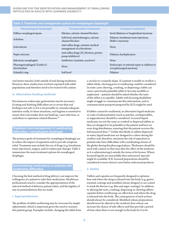| Taple of Treatment and Management options for occopinglyar apophagia    |                                                                         |  |  |
|-------------------------------------------------------------------------|-------------------------------------------------------------------------|--|--|
| <b>Conservative treatment</b>                                           | <b>Invasive treatment</b>                                               |  |  |
| Nitrates, calcium-channel blockers                                      | Serial dilations or longitudinal myotomy                                |  |  |
| Soft food, anticholinergics, calcium<br>channel blockers                | Dilation, botulinum toxin injections,<br>Heller's myotomy               |  |  |
| Anti-reflux drugs, systemic medical<br>management of scleroderma        | None                                                                    |  |  |
| Anti-reflux drugs (H <sub>2</sub> blockers, proton-<br>pump inhibitors) | Dilation, fundoplication                                                |  |  |
| Antibiotics (nystatin, acyclovir)                                       | None                                                                    |  |  |
| None                                                                    | Endoscopic or external repair in addition to<br>cricopharyngeal myotomy |  |  |
| Soft food                                                               | Dilation                                                                |  |  |
|                                                                         |                                                                         |  |  |

Table 3: Treatment and management options for oesophageal dysphagia6

oral motor muscles, both outside of and during mealtimes. However, these studies have not been repeated with adult populations and therefore need to be treated with caution.

### iv. Alternative feeding methods

Percutaneous endoscopic gastrostomy may be necessary if eating and drinking difficulties are so severe that oral feeding is not safe or if it is not possible to consume adequate nutrition orally. In these situations, oral hygiene is essential to ensure that oral residue does not build up, cause infection, or contribute to aspiration-related illnesses.<sup>49</sup>

### Treatment and management of swallowing difficulties—oesophageal dysphagia

The primary goals of treatment for oesophageal dysphagia are to reduce the impact of aspiration and to provide symptom relief. Treatment may include the use of drugs (e.g. botulinum toxin injections), surgery, and/or endoscopic therapy. Table 3 summarises the main treatment options for oesophageal dysphagia.

# Administering medications to patients with swallowing difficulties

Choosing the best method of drug delivery can improve the willingness of a patient to take their medication. Healthcare professionals need to consider the appropriateness of the selected method of delivery, patient safety, and the legality of any recommendations that are made.

# i. Appropriateness

The problem of tablet swallowing may be overcome by simple adjustments; which is important given the need to reassure this patient group. Examples include: changing the tablet from

a circular to a torpedo shape. If a patient is unable to swallow a tablet whole, chewing prior to swallowing could be considered. In some cases chewing, crushing, or dispersing a tablet can cause a previously palatable tablet to become inedible or unpleasant—patients should be asked whether the taste of the tablet is acceptable. Adults with learning disabilities might struggle to communicate this information, and so communication passports prepared by SLTs might be used.

If tablets cannot be swallowed, an alternative liquid medicine or route of administration (such as patches, orodispersibles, or suppositories) should be considered. Licensed liquid medicines are not the same as crushed or dispersed tablets as they are designed to be palatable to the patient and have an even drug distribution, ensuring that the patient receives the full measured dose.<sup>50</sup> Unlike thin fluids or tablets dispersed in water, liquid medicines are designed to cohere during the swallow and, therefore, minimise the risk of aspiration in patients who have difficulties with coordinating closure of the glottis during the pharyngeal phase. Thickeners should be used with caution as they may alter the effect of the medicine as it is administering it outside the terms of its license. Where licensed liquids are unavailable then unlicensed 'specials' might be available; N.B. licensed preparations should be considered in most clinical cases before unlicensed products.

### ii. Safety

Tablets and capsules are frequently designed to optimise how and where the drug is released into the body (e.g. gastroresistant coatings and modified-release designs) or are coated to mask the flavour (e.g. film and sugar coatings). In addition to altering the taste, crushing, dispersing or chewing tablets/ capsules before swallowing can affect how and where the drug is released into the body. The consequences of such actions should always be considered. Modified-release preparations should never be altered as the resultant dose release can increase the chance of side-effects and then provide a period of time when there is not enough in the body for it to be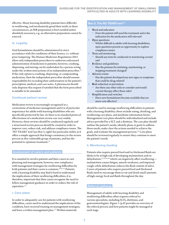effective. Many learning disability patients have difficulty in swallowing, and involuntarily grind their teeth, in these circumstances, an MR preparation is best avoided unless absolutely necessary, e.g. an alternative preparation cannot be sourced.

## iii. Legality

Oral formulations should be administered in strict accordance with the conditions of their licence, i.e. without prior tampering. The Human Medicines Regulations 2012 allow only independent prescribers to authorise unlicensed administration of medicines to patients; however, crushing, dispersing, and mixing can be undertaken by a person acting under the written instructions of an independent prescriber.<sup>51</sup> If the only option is crushing, dispersing, or compounding medication, then the independent prescriber should assume responsibility by recording their authorisation in the patient's prescription, medical, and care notes. A pharmacist should only dispense this request if satisfied that the form prescribed is suitable to be amended.

# Continual patient review

Medication review is increasingly recognised as a cornerstone of medicines management and it is of particular importance for adults with learning disabilities who are specifically protected by law. As there is no standard protocol effectiveness of a medication review can vary widely. However, these reviews should be conducted regularly and a structured review process should be created in order to improve care, reduce risk, and address compliance issues. The 'NO TEARS' tool (see Box 3, right) has particular utility as it offers a simple approach that brings consistency to the review process in this vulnerable group of patients, and has the potential to optimise treatment.<sup>52</sup>

### Involvement of carers and patients

It is essential to involve patients and their carers in care planning and management; however, non-compliance with management strategies for swallowing difficulties by both patients and their carers is common.<sup>29,31,53</sup> Patients with a learning disability may find it hard to understand the implications of their swallowing difficulties; it is, therefore, important that their carers recognise the need to follow management guidance in order to reduce the risk of aspiration.<sup>5,7</sup>

### i. Care plans

In order to adequately care for patients with swallowing difficulties, carers need to understand the implications of the condition, have received training on management strategies, and have a written management plan.5,7 Written materials

## Box 3. The NO TEARS tool<sup>52</sup>

#### **Need and indication**

- ▬ Does the patient still need the treatment and is the indication for the medication still relevant?
- **O**pen questions
	- Whilst difficult in adults with learning disabilities, open questions present an opportunity to explore compliance issues
- › **T**ests and monitoring
	- Should any tests be conducted or monitoring carried out?
- › **E**vidence and guidelines
	- Has the premise for initiating, maintaining, or stopping treatment changed?
- › **A**dverse events
	- Has the patient developed any new signs or symptoms that could be drug-related?
- **Risk reduction or prevention** 
	- ▬ Are there any other risks to consider and would current therapy affect these risks?
- › **S**implification and switches
	- Have new formulations become available that are more cost-effective?

should be used to manage swallowing difficulties in patients with a learning disability; these include eating, drinking, and swallowing care plans, and mealtime information forms.7 Management/care plans should be individualised and include advice provided by a SLT and a dietitian. The care plan should outline the patient's needs, identify plans or goals to address those needs, make clear the actions needed to achieve the goals, and evaluate the management process.<sup>54</sup> Care plans should be reviewed regularly to ensure they continue to meet the patient's needs.

# ii. Monitoring feeding

Patients who require pureed food and/or thickened fluids are likely to be at high risk of developing malnutrition and/or dehydration,<sup>15,33,55,56</sup> which can negatively affect swallowing malnutrition causes fatigue, muscle weakness, and impaired cough, while dehydration reduces the fluid content of saliva. Carers of patients who require pureed food and thickened fluids need to encourage them to eat and drink small amounts of high-energy food and fluids throughout the day.

### Referral pathway

Management of adults with learning disability and swallowing difficulties often requires referral to various specialists, including SLTs, dietitians, and gastroenterologists. Figure 1 (p.8) provides an overview of the referral process and how patients might be managed at each stage.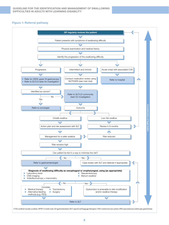## Figure 1: Referral pathway



CVA=cerebral vascular accident; 2WW=2 weeks wait; GI=gastrointestinal; SLT=speech and language therapist; CNS=central nervous system; PEG=percutaneous endoscopic gastrostomy.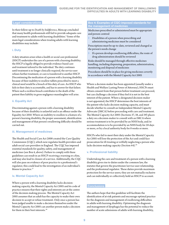## Legal considerations

In their follow-up to *Death by Indifference*, Mencap concluded that many health professionals still fail to provide adequate care and treatment to adults with learning disabilities.<sup>4</sup> Some of the main legal considerations when treating adults with learning disabilities may include:

#### i. Duty

A duty situation arises when a health or social care professional (HSCP) undertakes the care of a person with a learning disability; the HSCP is legally obliged to provide evidence-based care and treatment tailored to the individual. The duty continues until treatment is no longer clinically required, the service user refuses further treatment, or care is transferred to another HSCP. Discontinuing the medication of a person with a learning disability because of their inability to swallow tablets prescribed to meet a clinical need would be a breach of this duty of care. An HSCP who fails in their duty is accountable, and has to answer for that failure. Where such a reckless breach contributes to the death of the patient then liability in gross negligence manslaughter will arise.

#### ii. Equality Act

Discriminating against a person with a learning disability because of their disability is unlawful and is an offence under the Equality Act 2010. Where an inability to swallow is a feature of a person's learning disability, the proper assessment, identification and management of that person's swallowing difficulty should be carried out.

#### iii. Management of medicines

The Health and Social Care Act 2008 created the Care Quality Commission (CQC), which now regulates health providers and adult social care providers in England. The CQC has imposed essential standards for quality, safety, and management of medicines (see Box 4, above). Failure to comply with these guidelines can result in an HSCP receiving a warning or a fine, and may also lead to closure of a service. Additionally, the CQC will also pass on evidence of poor practice to a professional's regulator; this could lead to the investigation of an individual's fitness to practice.<sup>57</sup>

#### iv. Mental Capacity Act

Where a person with a learning disability lacks decisionmaking capacity, the Mental Capacity Act 2005 and its code of practice ensures that their rights and interests are at the centre of the decision-making process. The Mental Capacity Act 2005 assumes that an adult has the capacity to make their own decision to accept or refuse treatment. Only once a person has been judged unable to make a decision themselves under the Mental Capacity Act 2005 can another person make a decision for them in their best interests.<sup>58</sup>

### Box 4: Examples of CQC-imposed standards for the management of medicines

Medicines prescribed or administered must be appropriate and person-centred

› Disabilities of a person when prescribing and administering medicines must be considered

Prescriptions must be up-to-date, reviewed and changed as the person's needs change

› If a person develops swallowing difficulties, the route of drug administration should be reviewed

Risks should be managed through effective medicines handling, including dispensing, preparation, administration, monitoring and disposal of medicines

Procedures should be in place for giving medicines covertly in accordance with the Mental Capacity Act 2005

Where a decision-maker has been appointed (usually under a Health and Welfare Lasting Power of Attorney), HSCPs must obtain consent from that person before treatment can proceed, but can challenge a decision if they feel it is not in the best interest of the patient. Where a designated decision-maker is not appointed, the HSCP determines the best interests of the patient who lacks decision-making capacity, and must decide whether to consult an Independent Mental Capacity Advocate (IMCA) before proceeding with care and treatment. The Mental Capacity Act 2005 (Sections 37, 38, and 39) places a duty on a decision-maker to consult with an IMCA where serious treatment is to be provided by an NHS body, and/or accommodation is to be provided by an NHS body for 28 days or more, or by a local authority body for 8 weeks or more.

HSCPs who fail to meet their duty under the Mental Capacity Act 2005 will lose the protection of the Act and could face prosecution for ill-treating or wilfully neglecting a person who lacks decision-making capacity (Section 44).<sup>58</sup>

#### v. Professional liability

Undertaking the care and treatment of a person with a learning disability gives rise to duties under the common law, the statutes that govern the practitioner/service user relationship, and the professional regulator. These duties provide maximum protection for the service users; they are not mutually exclusive and can individually or collectively hold an HSCP to account.

### **Conclusions**

The authors hope that this guideline will facilitate the identification of at-risk patients and encourage optimal practice for the diagnosis and management of swallowing difficulties in adults with learning disability. Optimising the diagnosis and management of dysphagia has the potential to reduce the number of acute admissions of adults with learning disability,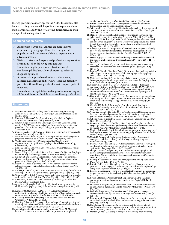thereby providing cost-savings for the NHS. The authors also hope that this guideline will help clinicians to protect adults with learning disability and swallowing difficulties, and their own professional registrations.

#### Learning action points

- Adults with learning disabilities are more likely to experience dysphagia problems than the general population and are also more likely to experience an adverse outcome
- Risks to patients and to personal professional registration are minimised by following this guidance
- Understanding the phases and classification of swallowing difficulties allows clinicians to refer and diagnose optimally
- A systematic approach to the dietary, therapeutic, medical management, and review of learning disability patients with swallowing difficulties will improve patient outcomes
- Understand the legal duties and implications of caring for adults with learning disability and swallowing difficulties

#### References

- 1. Department of Health. *Valuing people: A new strategy for learning disability for the 21st century—a white paper*. London: Department of Health, 2001.
- 2. Emerson E, Hatton C. *People with learning disabilities in England*. Lancaster: Centre for Disability Research, 2008.
- quality 3. RCSLT's guidance on best practice in service organisation and *provision*. 3rd ed. London: Royal College of Speech and Language Therapists, 2006.
- 4. Mencap. *Death by indifference: 74 deaths and counting. A progress report 5 years on*. London: Mencap, 2012.
- 5. National Patient Safety Agency. *Learning disabilities dysphagia protocol for general practitioners*. National Patient Safety Agency, 2007.
- 6. World Gastroenterology Organisation. *World gastroenterology organisation practice guidelines: Dysphagia*. World Gastroenterology Organisation, 2007.
- 7. National Patient Safety Agency. *Problems swallowing?* National Patient
- Safety Agency, 2007. 8. Bloem B, Lagaay A, van Beek W et al. Prevalence of subjective dysphagia
- in community residents aged over 87. *BMJ* 1990; **300** (6726): 721–722. 9. Lindgren S and Janzon L. Prevalence of swallowing complaints and clinical findings among 50–79-year-old men and women in an urban population. *Dysphagia* 1991; **6** (4): 187–192.
- 10. Siebens H, Trupe E, Siebens A et al. Correlates and consequences of eating dependency in institutionalized elderly. *J Am Geriatr Soc* 1986; **34**: 192–198.
- 11. Leslie P, Crawford H, Wilkinson H. People with a learning disability and dysphagia: A cinderella population? *Dysphagia* 2009; **24** (1): 103–104. 12.Chadwick D, Jolliffe J. A descriptive investigation of dysphagia in adults
- with intellectual disabilities. *J Intellect Disabil Res* 2009; **53** (1): 29–43.
- 13. Logemann JA. *Evaluation and treatment of swallowing disorders*. San Diego : College Hill Press, 1983.
- 14. Arvedson J, Rogers B, Buck G et al. Silent aspiration prominent in children with dysphagia. *Int J Pediatr Otorhinolaryngol* 1994; **28** (2–3): 173-181.
- 15. Kennedy M, McCombie L, Dawes P et al. Nutritional support for patients with intellectual disability and nutrition/dysphagia disorders in community care. *J Intellect Disabil Res* 1997; **41** (Pt 5): 430–436.
- 16. Cichero J, Murdoch B. *Dysphagia: Foundation, theory and practice*. Chichester: Wiley and Sons, 2006.
- 17. Harding C, Wright J. Dysphagia: The challenge of managing eating and drinking difficulties in children and adults who have learning disabilities. *Tizard Learning Disability Review* 2010; **15** (1): 4–13.
- 18. van Schrojenstein Lantman-de Valk H, van den Akker M, Maaskant M et al. Prevalence and incidence of health problems in people with
- 
- intellectual disability. *J Intellect Disabil Res* 1997; **41** (Pt 1): 42–51. 19. British Dietetic Association. *Dysphagia diet food texture descriptors*. Birmingham: British Dietetic Association, 2011.
- 20. Sciortino K, Liss J, Case J et al. Effects of mechanical, cold, gustatory, and combined stimulation to the human anterior faucial pillars. *Dysphagia* 2003; **18** (1): 16–26.
- 21. Steele C, Van Lieshout PH. Influence of bolus consistency on lingual
- behaviors in sequential swallowing. *Dysphagia* 2004; **19** (3): 192–206. 22.Taniguchi H, Tsukada T, Ootaki S et al. Correspondence between food consistency and suprahyoid muscle activity, tongue pressure, and bolus transit times during the oropharyngeal phase of swallowing. *J Appl Physiol* 2008; **105** (3): 791–799.
- 23.Adeleye B, Rachal C. Comparison of the rheological properties of readyto-serve and powdered instant food-thickened beverages at different temperatures for dysphagic patients. *J Am Diet Assoc* 2007; **107** (7): 1176–1182.
- 24. Dewar R, Joyce M. Time-dependent rheology of starch thickeners and the clinical implications for dysphagia therapy. *Dysphagia* 2006; **21** (4): 264–269.<br>25. Garcia J, Chambers E 4<sup>th</sup>, Matta Z et al. Serving temperature viscosity
- measurements of nectar- and honey-thick liquids. *Dysphagia* 2008; 23  $(1): 65-75$
- 26. Lotong V, Chun E, Chambers E et al. Texture and flavour characteristics of beverages containing commercial thickening agents for dysphagia diets. *J Food Sc* 2003; **68** (4): 1537–1541.
- 27. Matta Z, Chambers E  $4<sup>th</sup>$ , Mertz Garcia J et al. Sensory characteristics of beverages prepared with commercial thickeners used for dysphagia diets. *J Am Diet Assoc* 2006; **106** (7): 1049–1054.
- 28.Chadwick D, Jolliffe J, Goldbart J. Carer knowledge of dysphagia management strategies. *Int J Lang Commun Disord* 2002; **37**: 345–357. 29. Chadwick D, Jolliffe J, Goldbart J. Adherence to eating and drinking
- guidelines for adults with intellectual disabilities and dysphagia. *Am J Ment Retard* 2003; **108** (3): 202–211.
- 30.Chadwick D, Jolliffe J, Goldbart J et al. Barriers to caregiver compliance with eating and drinking recommendations for adults with intellectual disabilities and dysphagia. *J Appl Res Intellect Disabil* 2006; **19** (2): 153–162.
- 31. Crawford H, Leslie P, Drinnan M. Compliance with dysphagia recommendations by carers of adults with intellectual impairment. *Dysphagia* 2007; **22** (4): 326–334.
- 32. Vivanti A, Campbell K, Suter M et al. Contribution of thickened drinks, food and enteral and parenteral fluids to fluid intake in hospitalised patients with dysphagia. *J Hum Nutr Diet* 2009; **22** (2): 148–155.
- 33. Whelan K. Inadequate fluid intakes in dysphagic acute stroke. *Clin Nutr* 2001; **20** (5): 423–428.
- 34. Finestone H, Foley N, Woodbury M et al. Quantifying fluid intake in dysphagic stroke patients: A preliminary comparison of oral and nonoral strategies. *Arch Phys Med Rehabil* 2001; **82** (12): 1744–1746.
- 35. Morton R, Bonas R, Fourie B et al. Videofluoroscopy in the assessment of feeding disorders of children with neurological problems. *Dev Med Child Neurol* 1993; **35** (5): 388–395.
- 36. Macie D, Arvedson J. *Pediatric swallowing & feeding: Assessment & management*. (Eds Arvedson J and Brodsky L). Albany: Singular Publishing Group, 1993.
- 37. Bulow M, Olsson R, Ekberg O. Videomanometric analysis of supraglottic swallow, effortful swallow, and chin tuck in patients with pharyngeal dysfunction. *Dysphagia* 2001; **16** (3): 190–195.
- 38. Ding R, Larson C, Logemann J et al. Surface electromyographic and electroglottographic studies in normal subjects under two swallow conditions: Normal and during the mendelsohn manuever. *Dysphagia* 2002; **17** (1): 1–12.
- 39. Ekberg O. Posture of the head and pharyngeal swallowing. *Acta Radiol Diagn (Stockh)* 1986; **27** (6): 691–696.
- 40.Ertekin C, Keskin A, Kiylioglu N et al. The effect of head and neck positions on oropharyngeal swallowing: A clinical and electrophysiologic study. *Arch Phys Med Rehabil* 2001; **82** (9): 1255–1260.
- 41. Lazarus C, Logemann J, Song C et al. Effects of voluntary maneuvers on tongue base function for swallowing. *Folia Phoniatr Logop* 2002; **54** (4): 171–176.
- 42. Lewin J, Hebert T, Putnam JJr et al. Experience with the chin tuck maneuver in postesophagectomy aspirators. *Dysphagia* 2001; **16** (3): 216–219.
- 43. Shanahan T, Logemann J, Rademaker A et al. Chin-down posture effect on aspiration in dysphagic patients. *Arch Phys Med Rehabil* 1993; **74** (7): 736–739.
- 44.Welch M, Logemann J, Rademaker A et al. Changes in pharyngeal dimensions effected by chin tuck. *Arch Phys Med Rehabil* 1993; **74** (2): 178–181.
- 45. Pinnington L, Hegarty J. Effects of consistent food presentation on oral– motor skill acquisition in children with severe neurological impairment.
- *Dysphagia* 2000; **15** (4): 213–223. 46.Christensen M, Hanson M. An investigation of the efficacy of oral myofunctional therapy as a precursor to articulation therapy for pre-first grade children. *J Speech Hear Disord* 1981; **46** (2): 160–165. 47. Harden J, Rydell C. A study of changes in swallowing habit resulting
-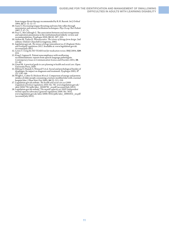from tongue thrust therapy recommended by R.H. Barrett. *Int J Orthod* 1984; **22** (2–3): 12–17.

- 48. Ganz S. Decreasing tongue thrusting and tonic bite reflex through neuromotor and sensory facilitation techniques. *Phys Occup Ther Pediatr*
- 1987; **7**: 57–75. 49. Pace C, McCullough G. The association between oral microorganisms and aspiration pneumonia in the institutionalised elderly: review and recommendations. *Dysphagia* 2010; **25** (4): 307–322.
- 50. Aulton M, Taylor K. *Pharmaceutics. The science of dosage form design.* 2nd edition. Oxford: Churchill Livingstone, 2002.
- 51. legislation.gov.uk. *The misuse of drugs (amendment no.2) (England, Wales and Scotland) regulations 2012*. Available at: www.legislation.gov.uk. Accessed July 2012.
- 52. Lewis T. *Using the NO TEARS tool for medication review*. BMJ 2004; **329**: 434.
- 53. King J, Ligman K. Patient noncompliance with swallowing recommendations: reports from speech-language pathologists. *Contemporary Issues in Communication Science and Disorders* 2011; **38**: 53–60.
- 54. Lloyd M. *A practical guide to care planning in health and social care*. Open University Press, 2010.
- 55. Ekberg O, Hamdy S, Woisard V et al. Social and psychological burden of dysphagia: Its impact on diagnosis and treatment. *Dysphagia* 2002; **17** (2): 139–146.
- 56. Wright L, Cotter D, Hickson M et al. Comparison of energy and protein intakes of older people consuming a texture modified diet with a normal hospital diet. *J Hum Nutr Diet* 2005; **18** (3): 213–219.
- 57. Legislation.gov.uk website. *The health and social care act 2008 (regulated activities) regulations 2010. No. 781*. www.legislation.gov.uk/ uksi/2010/781/pdfs/uksi\_20100781\_en.pdf (accessed July 2012).
- 58. Legislation.gov.uk website. T*he mental capacity act 2005 (independent mental capacity advocates) (general) regulations 2006*. No. 1832. www.legislation.gov.uk/uksi/2006/1832/pdfs/uksi\_20061832\_en.pdf (accessed July 2012).